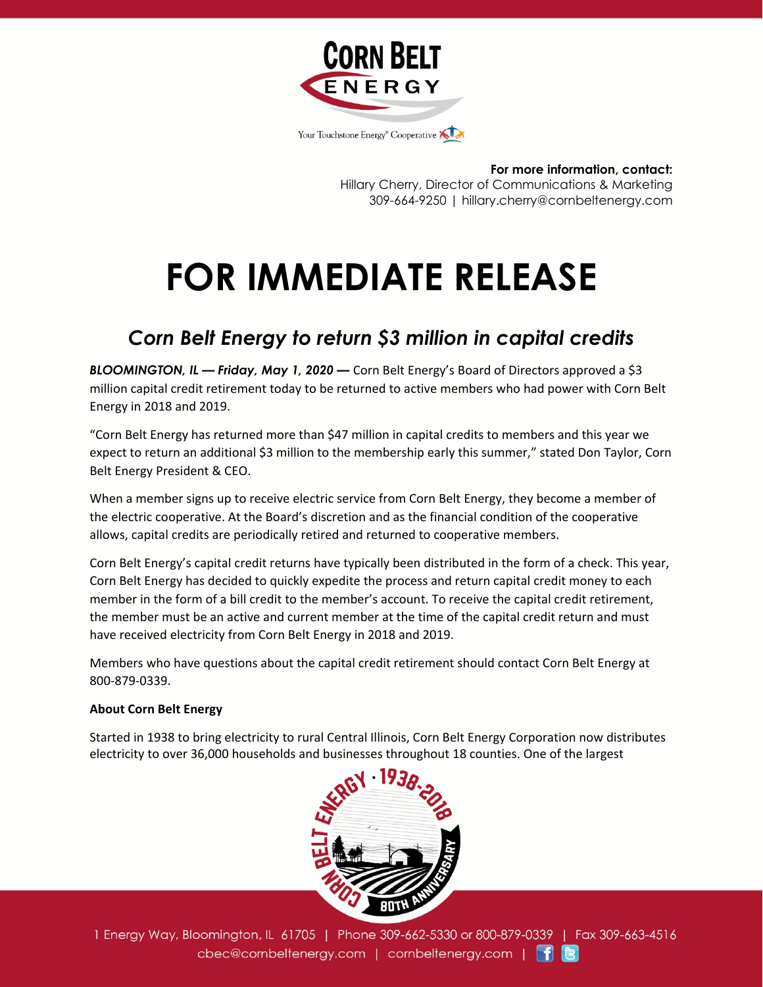

**For more information, contact:** Hillary Cherry, Director of Communications & Marketing 309-664-9250 | hillary.cherry@cornbeltenergy.com

## **FOR IMMEDIATE RELEASE**

## *Corn Belt Energy to return \$3 million in capital credits*

*BLOOMINGTON, IL — Friday, May 1, 2020 —* Corn Belt Energy's Board of Directors approved a \$3 million capital credit retirement today to be returned to active members who had power with Corn Belt Energy in 2018 and 2019.

"Corn Belt Energy has returned more than \$47 million in capital credits to members and this year we expect to return an additional \$3 million to the membership early this summer," stated Don Taylor, Corn Belt Energy President & CEO.

When a member signs up to receive electric service from Corn Belt Energy, they become a member of the electric cooperative. At the Board's discretion and as the financial condition of the cooperative allows, capital credits are periodically retired and returned to cooperative members.

Corn Belt Energy's capital credit returns have typically been distributed in the form of a check. This year, Corn Belt Energy has decided to quickly expedite the process and return capital credit money to each member in the form of a bill credit to the member's account. To receive the capital credit retirement, the member must be an active and current member at the time of the capital credit return and must have received electricity from Corn Belt Energy in 2018 and 2019.

Members who have questions about the capital credit retirement should contact Corn Belt Energy at 800-879-0339.

## **About Corn Belt Energy**

Started in 1938 to bring electricity to rural Central Illinois, Corn Belt Energy Corporation now distributes electricity to over 36,000 households and businesses throughout 18 counties. One of the largest



1 Energy Way, Bloomington, IL 61705 | Phone 309-662-5330 or 800-879-0339 | Fax 309-663-4516 cbec@cornbeltenergy.com | cornbeltenergy.com | f